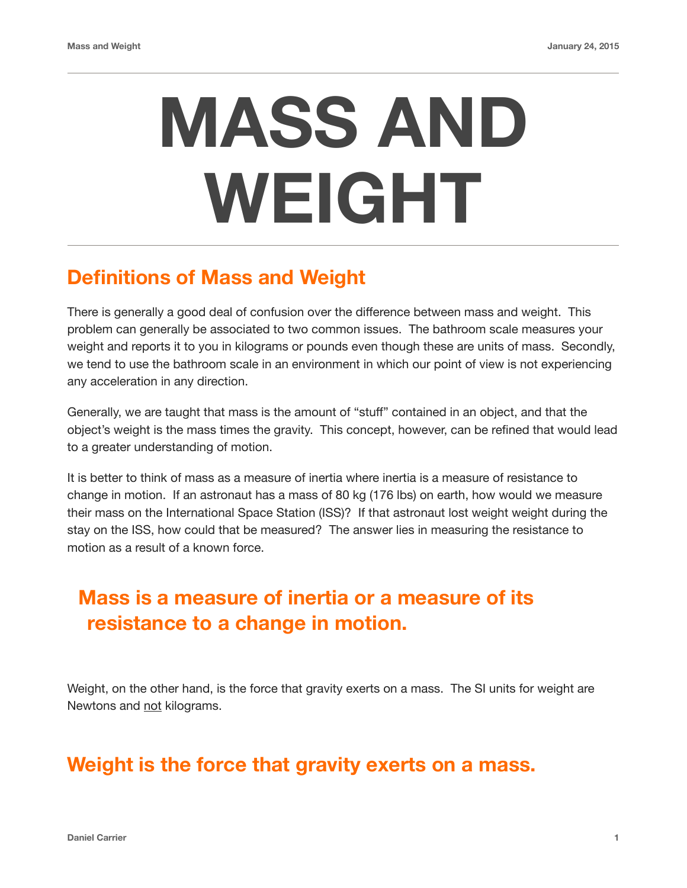## **MASS AND WEIGHT**

## **Definitions of Mass and Weight**

There is generally a good deal of confusion over the difference between mass and weight. This problem can generally be associated to two common issues. The bathroom scale measures your weight and reports it to you in kilograms or pounds even though these are units of mass. Secondly, we tend to use the bathroom scale in an environment in which our point of view is not experiencing any acceleration in any direction.

Generally, we are taught that mass is the amount of "stuff" contained in an object, and that the object's weight is the mass times the gravity. This concept, however, can be refined that would lead to a greater understanding of motion.

It is better to think of mass as a measure of inertia where inertia is a measure of resistance to change in motion. If an astronaut has a mass of 80 kg (176 lbs) on earth, how would we measure their mass on the International Space Station (ISS)? If that astronaut lost weight weight during the stay on the ISS, how could that be measured? The answer lies in measuring the resistance to motion as a result of a known force.

## **Mass is a measure of inertia or a measure of its resistance to a change in motion.**

Weight, on the other hand, is the force that gravity exerts on a mass. The SI units for weight are Newtons and not kilograms.

## **Weight is the force that gravity exerts on a mass.**